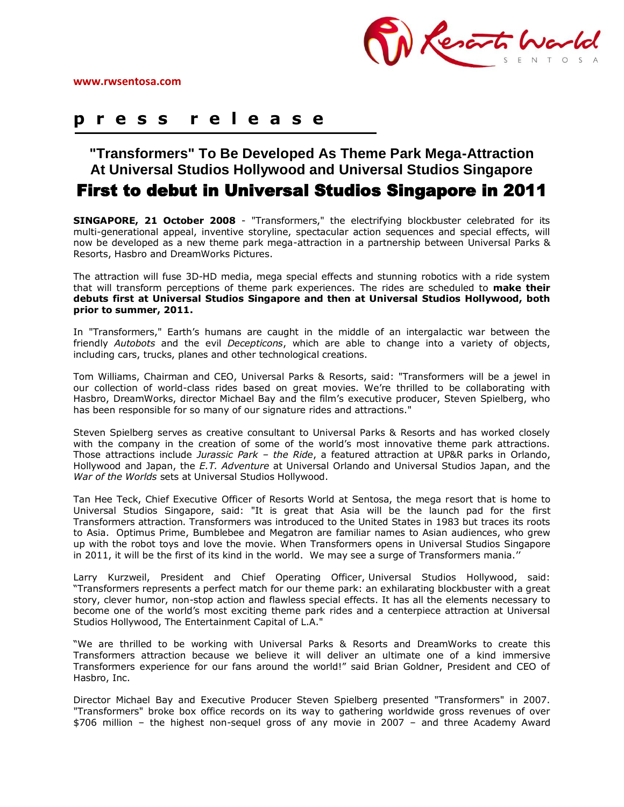

# **p r e s s r e l e a s e**

**"Transformers" To Be Developed As Theme Park Mega-Attraction At Universal Studios Hollywood and Universal Studios Singapore** First to debut in Universal Studios Singapore in 2011

**SINGAPORE, 21 October 2008** - "Transformers," the electrifying blockbuster celebrated for its multi-generational appeal, inventive storyline, spectacular action sequences and special effects, will now be developed as a new theme park mega-attraction in a partnership between Universal Parks & Resorts, Hasbro and DreamWorks Pictures.

The attraction will fuse 3D-HD media, mega special effects and stunning robotics with a ride system that will transform perceptions of theme park experiences. The rides are scheduled to **make their debuts first at Universal Studios Singapore and then at Universal Studios Hollywood, both prior to summer, 2011.**

In "Transformers," Earth's humans are caught in the middle of an intergalactic war between the friendly *Autobots* and the evil *Decepticons*, which are able to change into a variety of objects, including cars, trucks, planes and other technological creations.

Tom Williams, Chairman and CEO, Universal Parks & Resorts, said: "Transformers will be a jewel in our collection of world-class rides based on great movies. We're thrilled to be collaborating with Hasbro, DreamWorks, director Michael Bay and the film's executive producer, Steven Spielberg, who has been responsible for so many of our signature rides and attractions."

Steven Spielberg serves as creative consultant to Universal Parks & Resorts and has worked closely with the company in the creation of some of the world's most innovative theme park attractions. Those attractions include *Jurassic Park – the Ride*, a featured attraction at UP&R parks in Orlando, Hollywood and Japan, the *E.T. Adventure* at Universal Orlando and Universal Studios Japan, and the *War of the Worlds* sets at Universal Studios Hollywood.

Tan Hee Teck, Chief Executive Officer of Resorts World at Sentosa, the mega resort that is home to Universal Studios Singapore, said: "It is great that Asia will be the launch pad for the first Transformers attraction. Transformers was introduced to the United States in 1983 but traces its roots to Asia. Optimus Prime, Bumblebee and Megatron are familiar names to Asian audiences, who grew up with the robot toys and love the movie. When Transformers opens in Universal Studios Singapore in 2011, it will be the first of its kind in the world. We may see a surge of Transformers mania.''

Larry Kurzweil, President and Chief Operating Officer, Universal Studios Hollywood, said: "Transformers represents a perfect match for our theme park: an exhilarating blockbuster with a great story, clever humor, non-stop action and flawless special effects. It has all the elements necessary to become one of the world's most exciting theme park rides and a centerpiece attraction at Universal Studios Hollywood, The Entertainment Capital of L.A."

"We are thrilled to be working with Universal Parks & Resorts and DreamWorks to create this Transformers attraction because we believe it will deliver an ultimate one of a kind immersive Transformers experience for our fans around the world!" said Brian Goldner, President and CEO of Hasbro, Inc.

Director Michael Bay and Executive Producer Steven Spielberg presented "Transformers" in 2007. "Transformers" broke box office records on its way to gathering worldwide gross revenues of over \$706 million – the highest non-sequel gross of any movie in 2007 – and three Academy Award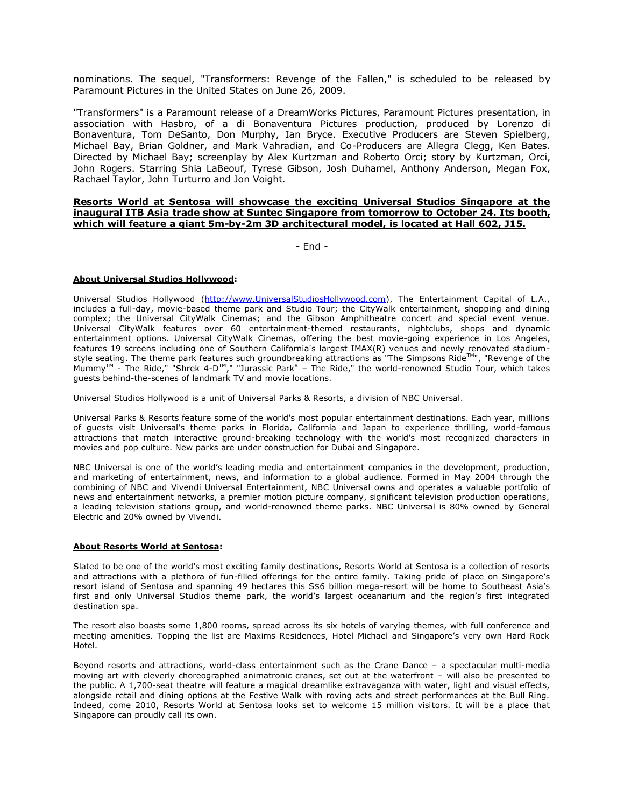nominations. The sequel, "Transformers: Revenge of the Fallen," is scheduled to be released by Paramount Pictures in the United States on June 26, 2009.

"Transformers" is a Paramount release of a DreamWorks Pictures, Paramount Pictures presentation, in association with Hasbro, of a di Bonaventura Pictures production, produced by Lorenzo di Bonaventura, Tom DeSanto, Don Murphy, Ian Bryce. Executive Producers are Steven Spielberg, Michael Bay, Brian Goldner, and Mark Vahradian, and Co-Producers are Allegra Clegg, Ken Bates. Directed by Michael Bay; screenplay by Alex Kurtzman and Roberto Orci; story by Kurtzman, Orci, John Rogers. Starring Shia LaBeouf, Tyrese Gibson, Josh Duhamel, Anthony Anderson, Megan Fox, Rachael Taylor, John Turturro and Jon Voight.

### **Resorts World at Sentosa will showcase the exciting Universal Studios Singapore at the inaugural ITB Asia trade show at Suntec Singapore from tomorrow to October 24. Its booth, which will feature a giant 5m-by-2m 3D architectural model, is located at Hall 602, J15.**

- End -

## **About Universal Studios Hollywood:**

Universal Studios Hollywood [\(http://www.UniversalStudiosHollywood.com\)](https://ususo03ex00.use.ucdp.net/exchweb/bin/redir.asp?URL=http://www.universalstudioshollywood.com/), The Entertainment Capital of L.A., includes a full-day, movie-based theme park and Studio Tour; the CityWalk entertainment, shopping and dining complex; the Universal CityWalk Cinemas; and the Gibson Amphitheatre concert and special event venue. Universal CityWalk features over 60 entertainment-themed restaurants, nightclubs, shops and dynamic entertainment options. Universal CityWalk Cinemas, offering the best movie-going experience in Los Angeles, features 19 screens including one of Southern California's largest IMAX(R) venues and newly renovated stadiumstyle seating. The theme park features such groundbreaking attractions as "The Simpsons Ride<sup>TM</sup>", "Revenge of the Mummy<sup>TM</sup> - The Ride," "Shrek 4-D<sup>TM</sup>," "Jurassic Park<sup>R</sup> – The Ride," the world-renowned Studio Tour, which takes guests behind-the-scenes of landmark TV and movie locations.

Universal Studios Hollywood is a unit of Universal Parks & Resorts, a division of NBC Universal.

Universal Parks & Resorts feature some of the world's most popular entertainment destinations. Each year, millions of guests visit Universal's theme parks in Florida, California and Japan to experience thrilling, world-famous attractions that match interactive ground-breaking technology with the world's most recognized characters in movies and pop culture. New parks are under construction for Dubai and Singapore.

NBC Universal is one of the world's leading media and entertainment companies in the development, production, and marketing of entertainment, news, and information to a global audience. Formed in May 2004 through the combining of NBC and Vivendi Universal Entertainment, NBC Universal owns and operates a valuable portfolio of news and entertainment networks, a premier motion picture company, significant television production operations, a leading television stations group, and world-renowned theme parks. NBC Universal is 80% owned by General Electric and 20% owned by Vivendi.

#### **About Resorts World at Sentosa:**

Slated to be one of the world's most exciting family destinations, Resorts World at Sentosa is a collection of resorts and attractions with a plethora of fun-filled offerings for the entire family. Taking pride of place on Singapore's resort island of Sentosa and spanning 49 hectares this S\$6 billion mega-resort will be home to Southeast Asia's first and only Universal Studios theme park, the world's largest oceanarium and the region's first integrated destination spa.

The resort also boasts some 1,800 rooms, spread across its six hotels of varying themes, with full conference and meeting amenities. Topping the list are Maxims Residences, Hotel Michael and Singapore's very own Hard Rock Hotel.

Beyond resorts and attractions, world-class entertainment such as the Crane Dance – a spectacular multi-media moving art with cleverly choreographed animatronic cranes, set out at the waterfront – will also be presented to the public. A 1,700-seat theatre will feature a magical dreamlike extravaganza with water, light and visual effects, alongside retail and dining options at the Festive Walk with roving acts and street performances at the Bull Ring. Indeed, come 2010, Resorts World at Sentosa looks set to welcome 15 million visitors. It will be a place that Singapore can proudly call its own.